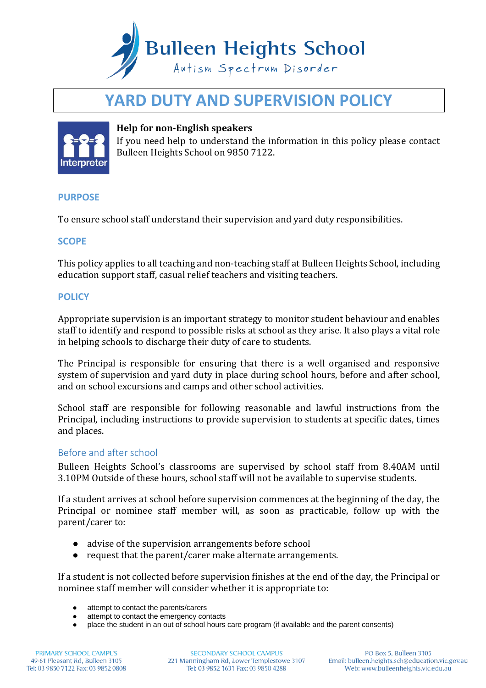

# **YARD DUTY AND SUPERVISION POLICY**



## **Help for non-English speakers**

If you need help to understand the information in this policy please contact Bulleen Heights School on 9850 7122.

### **PURPOSE**

To ensure school staff understand their supervision and yard duty responsibilities.

## **SCOPE**

This policy applies to all teaching and non-teaching staff at Bulleen Heights School, including education support staff, casual relief teachers and visiting teachers.

## **POLICY**

Appropriate supervision is an important strategy to monitor student behaviour and enables staff to identify and respond to possible risks at school as they arise. It also plays a vital role in helping schools to discharge their duty of care to students.

The Principal is responsible for ensuring that there is a well organised and responsive system of supervision and yard duty in place during school hours, before and after school, and on school excursions and camps and other school activities.

School staff are responsible for following reasonable and lawful instructions from the Principal, including instructions to provide supervision to students at specific dates, times and places.

### Before and after school

Bulleen Heights School's classrooms are supervised by school staff from 8.40AM until 3.10PM Outside of these hours, school staff will not be available to supervise students.

If a student arrives at school before supervision commences at the beginning of the day, the Principal or nominee staff member will, as soon as practicable, follow up with the parent/carer to:

- advise of the supervision arrangements before school
- request that the parent/carer make alternate arrangements.

If a student is not collected before supervision finishes at the end of the day, the Principal or nominee staff member will consider whether it is appropriate to:

- attempt to contact the parents/carers
- attempt to contact the emergency contacts<br>● place the student in an out of school bours
- place the student in an out of school hours care program (if available and the parent consents)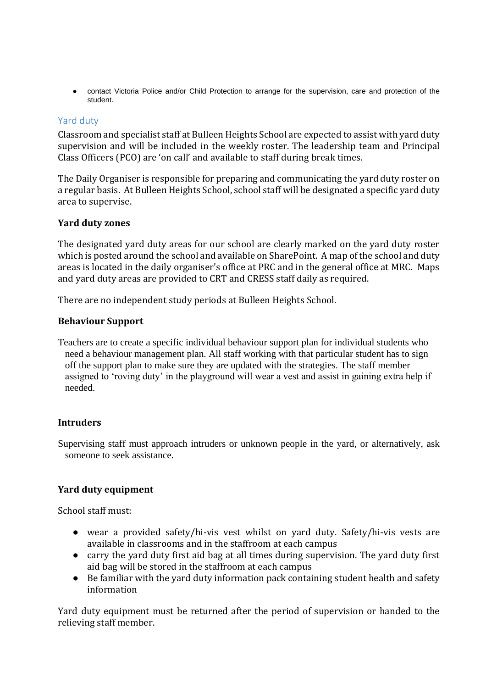● contact Victoria Police and/or Child Protection to arrange for the supervision, care and protection of the student.

## Yard duty

Classroom and specialist staff at Bulleen Heights School are expected to assist with yard duty supervision and will be included in the weekly roster. The leadership team and Principal Class Officers (PCO) are 'on call' and available to staff during break times.

The Daily Organiser is responsible for preparing and communicating the yard duty roster on a regular basis. At Bulleen Heights School, school staff will be designated a specific yard duty area to supervise.

### **Yard duty zones**

The designated yard duty areas for our school are clearly marked on the yard duty roster which is posted around the school and available on SharePoint. A map of the school and duty areas is located in the daily organiser's office at PRC and in the general office at MRC. Maps and yard duty areas are provided to CRT and CRESS staff daily as required.

There are no independent study periods at Bulleen Heights School.

### **Behaviour Support**

Teachers are to create a specific individual behaviour support plan for individual students who need a behaviour management plan. All staff working with that particular student has to sign off the support plan to make sure they are updated with the strategies. The staff member assigned to 'roving duty' in the playground will wear a vest and assist in gaining extra help if needed.

### **Intruders**

Supervising staff must approach intruders or unknown people in the yard, or alternatively, ask someone to seek assistance.

## **Yard duty equipment**

School staff must:

- wear a provided safety/hi-vis vest whilst on yard duty. Safety/hi-vis vests are available in classrooms and in the staffroom at each campus
- carry the yard duty first aid bag at all times during supervision. The yard duty first aid bag will be stored in the staffroom at each campus
- Be familiar with the yard duty information pack containing student health and safety information

Yard duty equipment must be returned after the period of supervision or handed to the relieving staff member.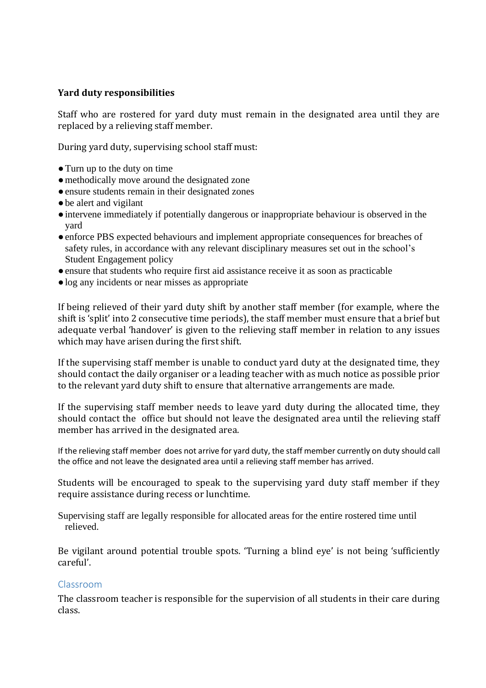## **Yard duty responsibilities**

Staff who are rostered for yard duty must remain in the designated area until they are replaced by a relieving staff member.

During yard duty, supervising school staff must:

- ●Turn up to the duty on time
- methodically move around the designated zone
- ●ensure students remain in their designated zones
- be alert and vigilant
- ●intervene immediately if potentially dangerous or inappropriate behaviour is observed in the yard
- enforce PBS expected behaviours and implement appropriate consequences for breaches of safety rules, in accordance with any relevant disciplinary measures set out in the school's Student Engagement policy
- ●ensure that students who require first aid assistance receive it as soon as practicable
- ●log any incidents or near misses as appropriate

If being relieved of their yard duty shift by another staff member (for example, where the shift is 'split' into 2 consecutive time periods), the staff member must ensure that a brief but adequate verbal 'handover' is given to the relieving staff member in relation to any issues which may have arisen during the first shift.

If the supervising staff member is unable to conduct yard duty at the designated time, they should contact the daily organiser or a leading teacher with as much notice as possible prior to the relevant yard duty shift to ensure that alternative arrangements are made.

If the supervising staff member needs to leave yard duty during the allocated time, they should contact the office but should not leave the designated area until the relieving staff member has arrived in the designated area.

If the relieving staff member does not arrive for yard duty, the staff member currently on duty should call the office and not leave the designated area until a relieving staff member has arrived.

Students will be encouraged to speak to the supervising yard duty staff member if they require assistance during recess or lunchtime.

Supervising staff are legally responsible for allocated areas for the entire rostered time until relieved.

Be vigilant around potential trouble spots. 'Turning a blind eye' is not being 'sufficiently careful'.

## Classroom

The classroom teacher is responsible for the supervision of all students in their care during class.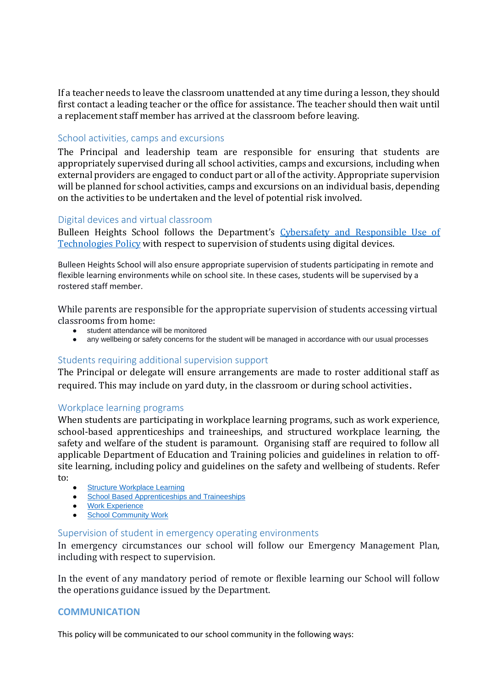If a teacher needs to leave the classroom unattended at any time during a lesson, they should first contact a leading teacher or the office for assistance. The teacher should then wait until a replacement staff member has arrived at the classroom before leaving.

## School activities, camps and excursions

The Principal and leadership team are responsible for ensuring that students are appropriately supervised during all school activities, camps and excursions, including when external providers are engaged to conduct part or all of the activity. Appropriate supervision will be planned for school activities, camps and excursions on an individual basis, depending on the activities to be undertaken and the level of potential risk involved.

## Digital devices and virtual classroom

Bulleen Heights School follows the Department's [Cybersafety and Responsible Use of](https://www2.education.vic.gov.au/pal/cybersafety/policy)  [Technologies Policy](https://www2.education.vic.gov.au/pal/cybersafety/policy) with respect to supervision of students using digital devices.

Bulleen Heights School will also ensure appropriate supervision of students participating in remote and flexible learning environments while on school site. In these cases, students will be supervised by a rostered staff member.

While parents are responsible for the appropriate supervision of students accessing virtual classrooms from home:

- student attendance will be monitored
- any wellbeing or safety concerns for the student will be managed in accordance with our usual processes

## Students requiring additional supervision support

The Principal or delegate will ensure arrangements are made to roster additional staff as required. This may include on yard duty, in the classroom or during school activities.

### Workplace learning programs

When students are participating in workplace learning programs, such as work experience, school-based apprenticeships and traineeships, and structured workplace learning, the safety and welfare of the student is paramount. Organising staff are required to follow all applicable Department of Education and Training policies and guidelines in relation to offsite learning, including policy and guidelines on the safety and wellbeing of students. Refer to:

- **[Structure Workplace Learning](https://www2.education.vic.gov.au/pal/structured-workplace-learning/policy)**
- [School Based Apprenticeships and Traineeships](https://www2.education.vic.gov.au/pal/school-based-apprenticeships-and-traineeships/policy)
- [Work Experience](https://www2.education.vic.gov.au/pal/work-experience/policy)
- [School Community Work](https://www2.education.vic.gov.au/pal/school-community-work/policy)

### Supervision of student in emergency operating environments

In emergency circumstances our school will follow our Emergency Management Plan, including with respect to supervision.

In the event of any mandatory period of remote or flexible learning our School will follow the operations guidance issued by the Department.

### **COMMUNICATION**

This policy will be communicated to our school community in the following ways: